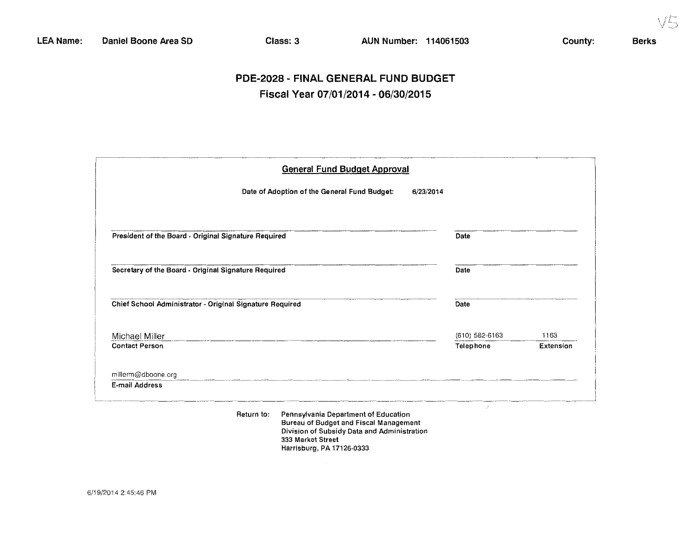$\parallel$ 

# PDE-2028 - FINAL GENERAL FUND BUDGET Fiscal Year 07/01/2014 - 06/30/2015

| <b>General Fund Budget Approval</b>                       |                  |           |
|-----------------------------------------------------------|------------------|-----------|
| Date of Adoption of the General Fund Budget:<br>6/23/2014 |                  |           |
| President of the Board - Original Signature Required      | Date             |           |
| Secretary of the Board - Original Signature Required      | Date             |           |
| Chief School Administrator - Original Signature Required  | Date             |           |
| Michael Miller                                            | $(610)$ 582-6163 | 1163      |
| <b>Contact Person</b>                                     | Telephone        | Extension |
| millerm@dboone.org                                        |                  |           |
| E-mail Address                                            |                  |           |

**Return to: Pennsytvania Department of Education Bureau of Budget and Fiscal Management Division of Subsidy Data and Administration 333 Market Street Harrisburg, PA 17126-0333**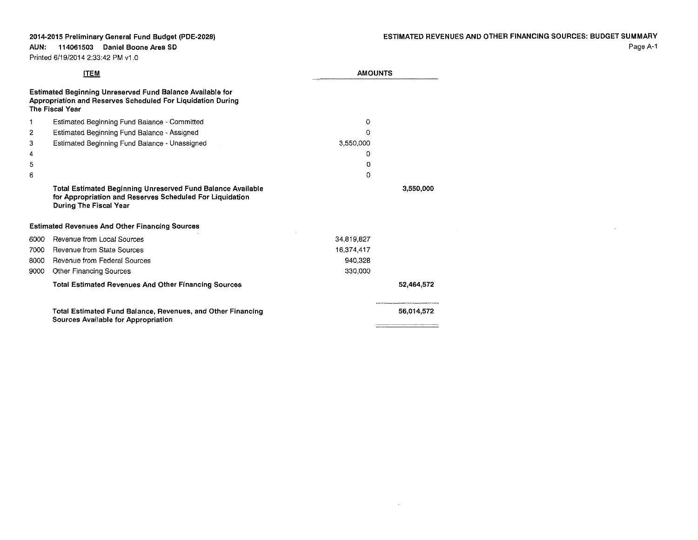$\sim 10$ 

Printed 6/19/2014 2:33:42 PM v1 .0

**AUN: 114061503 Daniel Boone Area SO**

|      | <b>ITEM</b>                                                                                                                                        | <b>AMOUNTS</b> |            |
|------|----------------------------------------------------------------------------------------------------------------------------------------------------|----------------|------------|
|      | Estimated Beginning Unreserved Fund Balance Available for<br>Appropriation and Reserves Scheduled For Liquidation During<br><b>The Fiscal Year</b> |                |            |
| 1    | Estimated Beginning Fund Balance - Committed                                                                                                       | 0              |            |
| 2    | Estimated Beginning Fund Balance - Assigned                                                                                                        | 0              |            |
| з    | Estimated Beginning Fund Balance - Unassigned                                                                                                      | 3,550,000      |            |
| 4    |                                                                                                                                                    | 0              |            |
| 5    |                                                                                                                                                    | O              |            |
| 6    |                                                                                                                                                    | O              |            |
|      | Total Estimated Beginning Unreserved Fund Balance Available<br>for Appropriation and Reserves Scheduled For Liquidation<br>During The Fiscal Year  |                | 3,550,000  |
|      | <b>Estimated Revenues And Other Financing Sources</b>                                                                                              |                |            |
| 6000 | Revenue from Local Sources                                                                                                                         | 34.819.827     |            |
| 7000 | Revenue from State Sources                                                                                                                         | 16,374 417     |            |
| 8000 | <b>Revenue from Federal Sources</b>                                                                                                                | 940.328        |            |
| 9000 | Other Financing Sources                                                                                                                            | 330,000        |            |
|      | <b>Total Estimated Revenues And Other Financing Sources</b>                                                                                        |                | 52,464,572 |
|      | Total Estimated Fund Balance, Revenues, and Other Financing<br>Sources Available for Appropriation                                                 |                | 56,014,572 |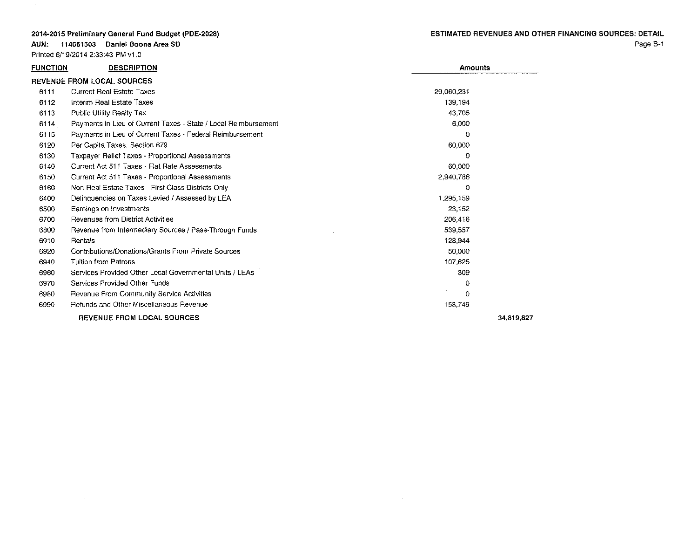AUN: 114061503 Daniel Boone Area 50

 $\sim$ 

|                 | Printed 6/19/2014 2:33:43 PM v1.0                               |                |            |
|-----------------|-----------------------------------------------------------------|----------------|------------|
| <b>FUNCTION</b> | <b>DESCRIPTION</b>                                              | <b>Amounts</b> |            |
|                 | <b>REVENUE FROM LOCAL SOURCES</b>                               |                |            |
| 6111            | <b>Current Real Estate Taxes</b>                                | 29,060,231     |            |
| 6112            | Interim Real Estate Taxes                                       | 139.194        |            |
| 6113            | <b>Public Utility Realty Tax</b>                                | 43.705         |            |
| 6114            | Payments in Lieu of Current Taxes - State / Local Reimbursement | 6.000          |            |
| 6115            | Payments in Lieu of Current Taxes - Federal Reimbursement       | 0              |            |
| 6120            | Per Capita Taxes, Section 679                                   | 60,000         |            |
| 6130            | Taxpayer Relief Taxes - Proportional Assessments                | $\Omega$       |            |
| 6140            | Current Act 511 Taxes - Flat Rate Assessments                   | 60,000         |            |
| 6150            | Current Act 511 Taxes - Proportional Assessments                | 2,940,786      |            |
| 6160            | Non-Real Estate Taxes - First Class Districts Only              | 0              |            |
| 6400            | Delinquencies on Taxes Levied / Assessed by LEA                 | 1,295,159      |            |
| 6500            | Earnings on Investments                                         | 23 152         |            |
| 6700            | Revenues from District Activities                               | 206,416        |            |
| 6800            | Revenue from Intermediary Sources / Pass-Through Funds          | 539,557        |            |
| 6910            | <b>Rentals</b>                                                  | 128,944        |            |
| 6920            | Contributions/Donations/Grants From Private Sources             | 50.000         |            |
| 6940            | <b>Tuition from Patrons</b>                                     | 107,625        |            |
| 6960            | Services Provided Other Local Governmental Units / LEAs         | 309            |            |
| 6970            | Services Provided Other Funds                                   | 0              |            |
| 6980            | Revenue From Community Service Activities                       | 0              |            |
| 6990            | Refunds and Other Miscellaneous Revenue                         | 158,749        |            |
|                 | <b>REVENUE FROM LOCAL SOURCES</b>                               |                | 34.819.827 |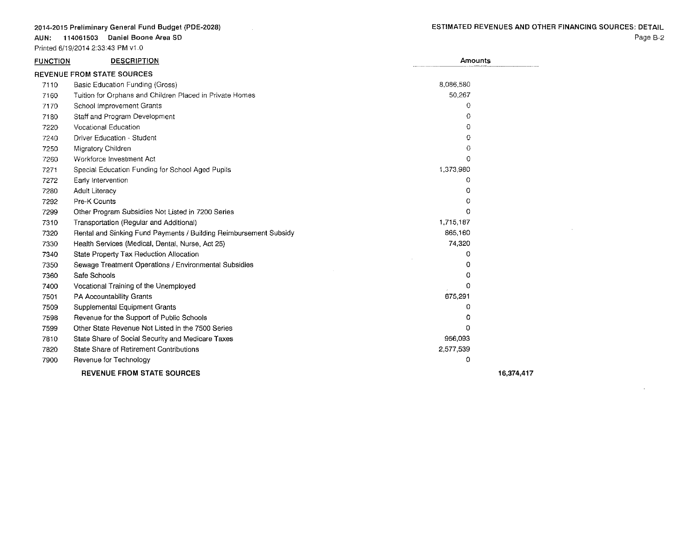AUN: 114061503 Daniel Boone Area SO

Printed 6/19/2014 2:33:43 PM v1.0

 $\sim 10^{11}$ 

 $\sim 10^6$ 

| <b>FUNCTION</b> | <b>DESCRIPTION</b>                                                | Amounts   |            |
|-----------------|-------------------------------------------------------------------|-----------|------------|
|                 | <b>REVENUE FROM STATE SOURCES</b>                                 |           |            |
| 7110            | Basic Education Funding (Gross)                                   | 8.086,580 |            |
| 7160            | Tuition for Orphans and Children Placed in Private Homes          | 50,267    |            |
| 7170            | School Improvement Grants                                         | 0         |            |
| 7180            | Staff and Program Development                                     | 0         |            |
| 7220            | <b>Vocational Education</b>                                       | 0         |            |
| 7240            | Driver Education - Student                                        | 0         |            |
| 7250            | Migratory Children                                                | $\Omega$  |            |
| 7260            | Workforce Investment Act                                          | 0         |            |
| 7271            | Special Education Funding for School Aged Pupils                  | 1,373,980 |            |
| 7272            | Early Intervention                                                | 0         |            |
| 7280            | <b>Adult Literacy</b>                                             | 0         |            |
| 7292            | Pre-K Counts                                                      | 0         |            |
| 7299            | Other Program Subsidies Not Listed in 7200 Series                 | 0         |            |
| 7310            | Transportation (Regular and Additional)                           | 1,715,187 |            |
| 7320            | Rental and Sinking Fund Payments / Building Reimbursement Subsidy | 865,160   |            |
| 7330            | Health Services (Medical, Dental, Nurse, Act 25)                  | 74,320    |            |
| 7340            | State Property Tax Reduction Allocation                           | 0         |            |
| 7350            | Sewage Treatment Operations / Environmental Subsidies             | 0         |            |
| 7360            | Safe Schools                                                      | Ω         |            |
| 7400            | Vocational Training of the Unemployed                             | 0         |            |
| 7501            | PA Accountability Grants                                          | 675,291   |            |
| 7509            | Supplemental Equipment Grants                                     | 0         |            |
| 7598            | Revenue for the Support of Public Schools                         | Ð         |            |
| 7599            | Other State Revenue Not Listed in the 7500 Series                 | O         |            |
| 7810            | State Share of Social Security and Medicare Taxes                 | 956,093   |            |
| 7820            | State Share of Retirement Contributions                           | 2,577,539 |            |
| 7900            | Revenue for Technology                                            | 0         |            |
|                 | <b>REVENUE FROM STATE SOURCES</b>                                 |           | 16.374.417 |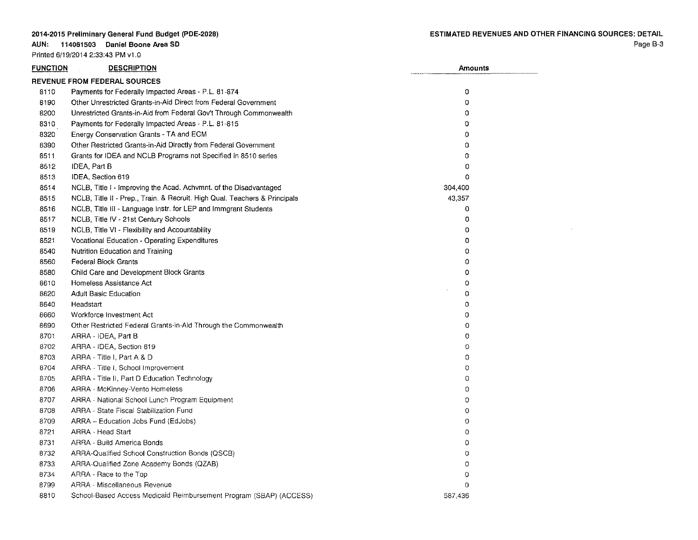### AUN: 114061503 Daniel Boone Area SD

Printed 6/19/2014 2:33:43 PM v1.0

 $\sim 10^7$ 

| <b>FUNCTION</b> | <b>DESCRIPTION</b>                                                         | <b>Amounts</b> |
|-----------------|----------------------------------------------------------------------------|----------------|
|                 | <b>REVENUE FROM FEDERAL SOURCES</b>                                        |                |
| 8110            | Payments for Federally Impacted Areas - P.L. 81-874                        | $\circ$        |
| 3190            | Other Unrestricted Grants-in-Aid Direct from Federal Government            | 0              |
| 8200            | Unrestricted Grants-in-Aid from Federal Gov't Through Commonwealth         | 0              |
| 8310            | Payments for Federally Impacted Areas - P.L. 81-815                        | $\Omega$       |
| 8320            | Energy Conservation Grants - TA and ECM                                    | 0              |
| 8390            | Other Restricted Grants-in-Aid Directly from Federal Government            | 0              |
| 8511            | Grants for IDEA and NCLB Programs not Specified in 8510 series             | 0              |
| 8512            | IDEA, Part B                                                               | 0              |
| 8513            | IDEA, Section 619                                                          | 0              |
| 8514            | NCLB, Title I - Improving the Acad. Achymnt. of the Disadvantaged          | 304,400        |
| 3515            | NCLB, Title II - Prep., Train. & Recruit. High Qual. Teachers & Principals | 43,357         |
| 8516            | NCLB, Title III - Language Instr. for LEP and Immgrant Students            | 0              |
| 8517            | NCLB, Title IV - 21st Century Schools                                      | 0              |
| 8519            | NCLB, Title VI - Flexibility and Accountability                            | 0              |
| 8521            | Vocational Education - Operating Expenditures                              | 0              |
| 8540            | Nutrition Education and Training                                           | 0              |
| 8560            | Federal Block Grants                                                       | 0              |
| 8580            | Child Care and Development Block Grants                                    | 0              |
| 8610            | Homeless Assistance Act                                                    | 0              |
| 3620            | <b>Adult Basic Education</b>                                               | $\Omega$       |
| 8640            | Headstart                                                                  | $\mathbf 0$    |
| 8660            | Workforce Investment Act                                                   | 0              |
| 8690            | Other Restricted Federal Grants-in-Ald Through the Commonwealth            | 0              |
| 8701            | ARRA - IDEA, Part B                                                        | 0              |
| 8702            | ARRA - IDEA, Section 619                                                   | 0              |
| 8703            | ARRA - Title I, Part A & D                                                 | 0              |
| 8704            | ARRA - Title I, School Improvement                                         | 0              |
| 8705            | ARRA - Title II, Part D Education Technology                               | 0              |
| 8706            | ARRA - McKinney-Vento Homeless                                             | 0              |
| 8707            | ARRA - National School Lunch Program Equipment                             | $\theta$       |
| 8708            | ARRA - State Fiscal Stabilization Fund                                     | $\circ$        |
| 8709            | ARRA - Education Jobs Fund (EdJobs)                                        | $\circ$        |
| 8721            | ARRA - Head Start                                                          | $\circ$        |
| 8731            | ARRA - Build America Bonds                                                 | $\circ$        |
| 8732            | ARRA-Qualified School Construction Bonds (QSCB)                            | $\circ$        |
| 8733            | ARRA-Qualified Zone Academy Bonds (QZAB)                                   | $\circ$        |
| 8734            | ARRA - Race to the Top                                                     | $\mathbf 0$    |
| 8799            | <b>ARRA - Miscellaneous Revenue</b>                                        | $\mathbf 0$    |
| 8810            | School-Based Access Medicaid Reimbursement Program (SBAP) (ACCESS)         | 587,436        |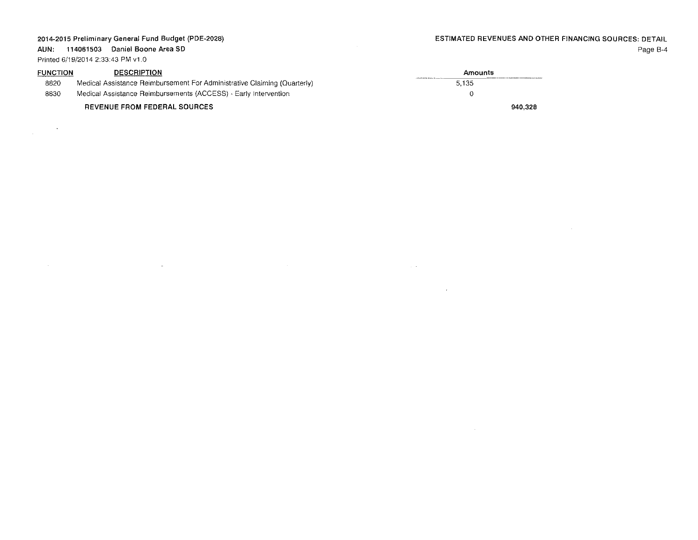$\sim 10^{11}$  m  $^{-1}$  .

 $\sim 10^{11}$  km s  $^{-1}$ 

**AUN: 114061503 Daniel Boone Area SD** Printed 6/19/2014 2:33:43 PM v1 ,0

 $\mathcal{L}^{\text{max}}_{\text{max}}$ 

 $\sim 10^{-1}$ 

| <b>FUNCTION</b> | <b>DESCRIPTION</b>                                                       | Amounts |
|-----------------|--------------------------------------------------------------------------|---------|
| 8820            | Medical Assistance Reimbursement For Administrative Claiming (Quarterly) | 5.135   |
| 8830            | Medical Assistance Reimbursements (ACCESS) - Early Intervention          |         |
|                 | <b>REVENUE FROM FEDERAL SOURCES</b>                                      | 940.328 |

 $\mathcal{L}^{\mathcal{L}}$  and  $\mathcal{L}^{\mathcal{L}}$  and  $\mathcal{L}^{\mathcal{L}}$  are  $\mathcal{L}^{\mathcal{L}}$  . In the contribution

 $\sim 10^{-1}$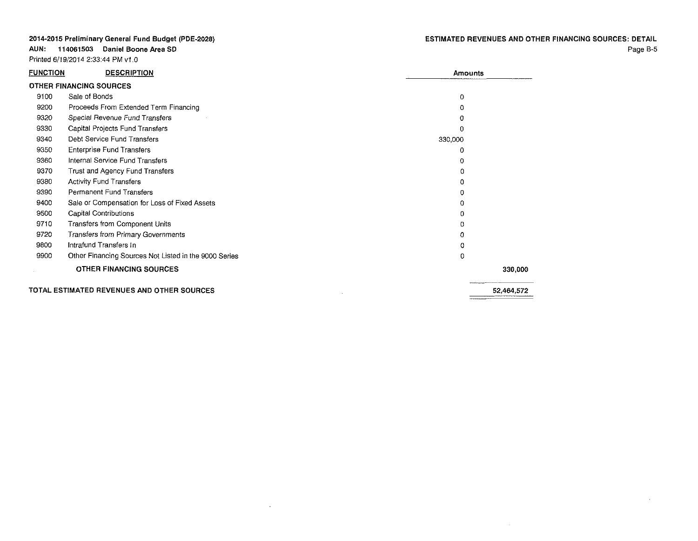**AUN: 114061503 Daniel Boone Area SO**

Printed 6/19/2014 2:33:44 PM v1.0

 $\sim 10^{-11}$ 

 $\sim 10^{-1}$ 

| <u>FUNCTION</u> | <b>DESCRIPTION</b>                                    | <b>Amounts</b> |            |
|-----------------|-------------------------------------------------------|----------------|------------|
|                 | OTHER FINANCING SOURCES                               |                |            |
| 9100            | Sale of Bonds                                         | 0              |            |
| 9200            | Proceeds From Extended Term Financing                 | 0              |            |
| 9320            | Special Revenue Fund Transfers                        | 0              |            |
| 9330            | Capital Projects Fund Transfers                       | n              |            |
| 9340            | Debt Service Fund Transfers                           | 330,000        |            |
| 9350            | <b>Enterprise Fund Transfers</b>                      | 0              |            |
| 9360            | Internal Service Fund Transfers                       | 0              |            |
| 9370            | Trust and Agency Fund Transfers                       | Ω              |            |
| 9380            | <b>Activity Fund Transfers</b>                        | $\Omega$       |            |
| 9390            | Permanent Fund Transfers                              | Ð              |            |
| 9400            | Sale or Compensation for Loss of Fixed Assets         | 0              |            |
| 9500            | Capital Contributions                                 | 0              |            |
| 9710            | Transfers from Component Units                        | 0              |            |
| 9720            | Transfers from Primary Governments                    | 0              |            |
| 9800            | Intrafund Transfers In                                | o              |            |
| 9900            | Other Financing Sources Not Listed in the 9000 Series | $\Omega$       |            |
|                 | OTHER FINANCING SOURCES                               |                | 330,000    |
|                 | TOTAL ESTIMATED REVENUES AND OTHER SOURCES            |                | 52.464.572 |

 $\sim 10^{-1}$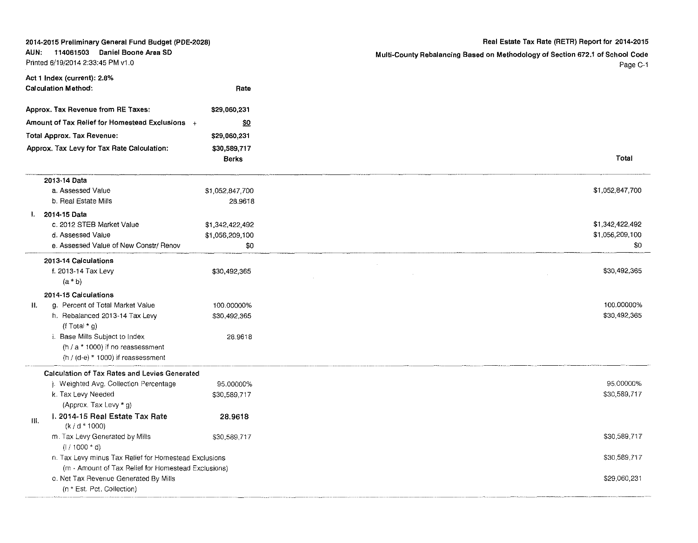| 2014-2015 Preliminary General Fund Budget (PDE-2028)                        |                 | Real Estate Tax Rate (RETR) Report for 2014-2015                                          |  |
|-----------------------------------------------------------------------------|-----------------|-------------------------------------------------------------------------------------------|--|
| 114061503 Daniel Boone Area SD<br>AUN:<br>Printed 6/19/2014 2:33:45 PM v1.0 |                 | Multi-County Rebalancing Based on Methodology of Section 672.1 of School Code<br>Page C-1 |  |
| Act 1 Index (current): 2.8%                                                 |                 |                                                                                           |  |
| Calculation Method:                                                         | Rate            |                                                                                           |  |
| Approx. Tax Revenue from RE Taxes:                                          | \$29,060,231    |                                                                                           |  |
| Amount of Tax Relief for Homestead Exclusions +                             | <u>\$0</u>      |                                                                                           |  |
| Total Approx. Tax Revenue:                                                  | \$29,060,231    |                                                                                           |  |
| Approx. Tax Levy for Tax Rate Calculation:                                  | \$30,589,717    |                                                                                           |  |
|                                                                             | Berks           | Total                                                                                     |  |
| 2013-14 Data                                                                |                 |                                                                                           |  |
| a. Assessed Value                                                           | \$1,052,847,700 | \$1,052,847,700                                                                           |  |
| b. Real Estate Mills                                                        | 28 9618         |                                                                                           |  |
| I. 2014-15 Data                                                             |                 |                                                                                           |  |
| c. 2012 STEB Market Value                                                   | \$1,342,422,492 | \$1,342,422,492                                                                           |  |
| d. Assessed Value                                                           | \$1,056,209,100 | \$1,056,209,100                                                                           |  |
| e. Assessed Value of New Constr/ Renov                                      | \$0             | \$0                                                                                       |  |
| 2013-14 Calculations                                                        |                 |                                                                                           |  |
| f. 2013-14 Tax Levy                                                         | \$30,492,365    | \$30,492,365                                                                              |  |
| $(a * b)$                                                                   |                 |                                                                                           |  |
| 2014-15 Calculations                                                        |                 |                                                                                           |  |
| g. Percent of Total Market Value<br>П.                                      | 100.00000%      | 100.00000%                                                                                |  |
| h. Rebalanced 2013-14 Tax Levy<br>(f Total $*$ g)                           | \$30,492,365    | \$30,492,365                                                                              |  |
| i. Base Mills Subject to Index                                              | 28.9618         |                                                                                           |  |
| $(h / a * 1000)$ if no reassessment                                         |                 |                                                                                           |  |
| $(h / (d-e) * 1000)$ if reassessment                                        |                 |                                                                                           |  |
| Calculation of Tax Rates and Levies Generated                               |                 |                                                                                           |  |
| ). Weighted Avg. Collection Percentage                                      | 95.00000%       | 95,00000%                                                                                 |  |
| k. Tax Levy Needed                                                          | \$30,589,717    | \$30,589,717                                                                              |  |
| (Approx. Tax Levy * g)                                                      |                 |                                                                                           |  |
| 1. 2014-15 Real Estate Tax Rate<br>Ш.<br>$(k/d * 1000)$                     | 28.9618         |                                                                                           |  |
| m. Tax Levy Generated by Mills                                              | \$30,589,717    | \$30,589,717                                                                              |  |
| $(1/1000 * d)$                                                              |                 |                                                                                           |  |
| n. Tax Levy minus Tax Relief for Homestead Exclusions                       |                 | \$30,589,717                                                                              |  |
| (m - Amount of Tax Relief for Homestead Exclusions)                         |                 |                                                                                           |  |
| o. Net Tax Revenue Generated By Mills                                       |                 | \$29,060,231                                                                              |  |
| (n * Est. Pct. Collection)                                                  |                 |                                                                                           |  |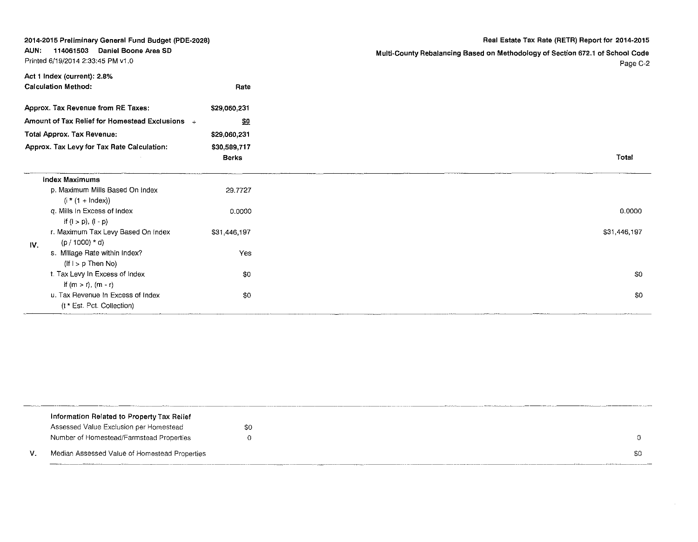|                                                                             | 2014-2015 Preliminary General Fund Budget (PDE-2028)            |                                       | Real Estate Tax Rate (RETR) Report for 2014-2015                                          |
|-----------------------------------------------------------------------------|-----------------------------------------------------------------|---------------------------------------|-------------------------------------------------------------------------------------------|
| 114061503 Daniel Boone Area SD<br>AUN:<br>Printed 6/19/2014 2:33:45 PM v1.0 |                                                                 |                                       | Multi-County Rebalancing Based on Methodology of Section 672.1 of School Code<br>Page C-2 |
|                                                                             | Act 1 Index (current): 2.8%<br><b>Calculation Method:</b>       | Rate                                  |                                                                                           |
|                                                                             | Approx. Tax Revenue from RE Taxes:                              | \$29,060.231                          |                                                                                           |
|                                                                             | Amount of Tax Relief for Homestead Exclusions +                 | $\underline{\mathbb{S}}\underline{0}$ |                                                                                           |
|                                                                             | <b>Total Approx. Tax Revenue:</b>                               | \$29,060,231                          |                                                                                           |
|                                                                             | Approx. Tax Levy for Tax Rate Calculation:                      | \$30,589,717<br><b>Berks</b>          | Total                                                                                     |
|                                                                             | <b>Index Maximums</b>                                           |                                       |                                                                                           |
|                                                                             | p. Maximum Mills Based On Index<br>$(i * (1 + \text{Index}))$   | 29.7727                               |                                                                                           |
|                                                                             | q. Mills In Excess of Index<br>if $(l > p)$ , $(l - p)$         | 0.0000                                | 0.0000                                                                                    |
| IV.                                                                         | r. Maximum Tax Levy Based On Index<br>$(p / 1000) * d$          | \$31,446.197                          | \$31,446,197                                                                              |
|                                                                             | s. Millage Rate within Index?<br>$(fI > p)$ Then No)            | Yes                                   |                                                                                           |
|                                                                             | t. Tax Levy In Excess of Index<br>if $(m > r)$ , $(m - r)$      | \$0                                   | \$0                                                                                       |
|                                                                             | u. Tax Revenue In Excess of Index<br>(t * Est. Pct. Collection) | \$0                                   | \$0                                                                                       |

|    | Information Related to Property Tax Relief    |    |  |      |
|----|-----------------------------------------------|----|--|------|
|    | Assessed Value Exclusion per Homestead        | 80 |  |      |
|    | Number of Homestead/Farmstead Properties      |    |  |      |
| v. | Median Assessed Value of Homestead Properties |    |  | -\$0 |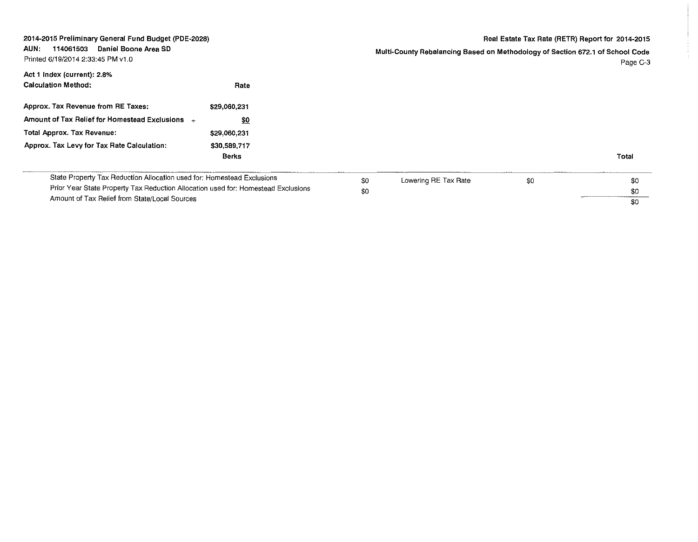| 2014-2015 Preliminary General Fund Budget (PDE-2028)<br>Daniel Boone Area SD<br>AUN.<br>114061503<br>Printed 6/19/2014 2:33:45 PM v1.0                                                                       | Real Estate Tax Rate (RETR) Report for 2014-2015<br>Multi-County Rebalancing Based on Methodology of Section 672.1 of School Code | Page C-3 |
|--------------------------------------------------------------------------------------------------------------------------------------------------------------------------------------------------------------|-----------------------------------------------------------------------------------------------------------------------------------|----------|
| Act 1 Index (current): 2.8%<br>Calculation Method:<br>Rate                                                                                                                                                   |                                                                                                                                   |          |
| Approx. Tax Revenue from RE Taxes:<br>\$29,060,231                                                                                                                                                           |                                                                                                                                   |          |
| Amount of Tax Relief for Homestead Exclusions +<br>\$0                                                                                                                                                       |                                                                                                                                   |          |
| Total Approx. Tax Revenue:<br>\$29,060,231                                                                                                                                                                   |                                                                                                                                   |          |
| Approx. Tax Levy for Tax Rate Calculation:<br>\$30,589,717<br>Berks                                                                                                                                          | Total                                                                                                                             |          |
| State Property Tax Reduction Allocation used for: Homestead Exclusions<br>Prior Year State Property Tax Reduction Allocation used for: Homestead Exclusions<br>Amount of Tax Relief from State/Local Sources | Lowering RE Tax Rate<br>\$0<br>\$0<br>\$0<br>\$0<br>\$0<br>\$0                                                                    |          |

 $\frac{1}{2}$  .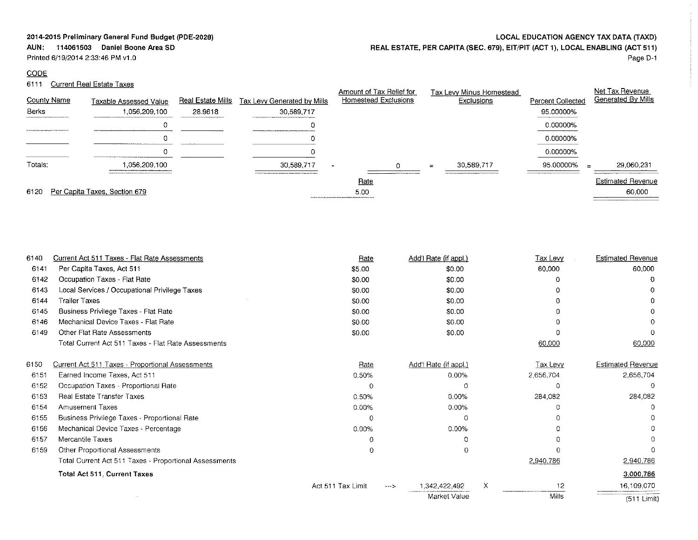## **AUN: 114061503 Daniel Boone Area SO**

Printed 6/19/2014 2:33:46 PM v1.0

# **CODE**

# 6111 Current Real Estate Taxes

| LOCAL EDUCATION AGENCY TAX DATA (TAXD)                                        |
|-------------------------------------------------------------------------------|
| REAL ESTATE, PER CAPITA (SEC. 679), EIT/PIT (ACT 1), LOCAL ENABLING (ACT 511) |

Page D·l

| County Name |                                         | Real Estate Mills |                                           | Amount of Tax Relief for<br>Homestead Exclusions                                                         |     | Tax Levy Minus Homestead<br>Exclusions | Percent Collected | Net Tax Revenue<br>Generated By Mills |
|-------------|-----------------------------------------|-------------------|-------------------------------------------|----------------------------------------------------------------------------------------------------------|-----|----------------------------------------|-------------------|---------------------------------------|
| Berks       | Taxable Assessed Value<br>1,056,209,100 | 28.9618           | Tax Levy Generated by Mills<br>30.589.717 |                                                                                                          |     |                                        | 95.00000%         |                                       |
|             |                                         |                   |                                           |                                                                                                          |     |                                        | 0.00000%          |                                       |
|             |                                         |                   |                                           |                                                                                                          |     |                                        | 0.00000%          |                                       |
|             |                                         |                   |                                           |                                                                                                          |     |                                        | 0.00000%          |                                       |
| Totals:     | 1.056.209.100                           |                   | 30.589,717                                |                                                                                                          | $=$ | 30.589.717                             | 95.00000%         | 29,060,231<br>$=$                     |
|             |                                         |                   |                                           | <b>Rate</b>                                                                                              |     |                                        |                   | <b>Estimated Revenue</b>              |
| 6120        | Per Capita Taxes, Section 679           |                   |                                           | 5.00<br>POLITY CONTROLLANT PROJECTION AND RESIDENT AND LODGED AND ARREST AND A REPORT OF CONTROLLANT CO. |     |                                        |                   | 60,000                                |

| 6140 | Current Act 511 Taxes - Flat Rate Assessments          | Rate              |       | Add'l Rate (if appl.) |   | Tax Levy     | <b>Estimated Revenue</b> |
|------|--------------------------------------------------------|-------------------|-------|-----------------------|---|--------------|--------------------------|
| 6141 | Per Capita Taxes, Act 511                              | \$5.00            |       | \$0.00                |   | 60,000       | 60,000                   |
| 6142 | Occupation Taxes - Flat Rate                           | \$0.00            |       | \$0.00                |   | o            |                          |
| 6143 | Local Services / Occupational Privilege Taxes          | \$0.00            |       | \$0.00                |   |              |                          |
| 6144 | <b>Trailer Taxes</b>                                   | \$0.00            |       | \$0.00                |   | o            |                          |
| 6145 | Business Privilege Taxes - Flat Rate                   | \$0.00            |       | \$0.00                |   |              |                          |
| 6146 | Mechanical Device Taxes - Flat Rate                    | \$0.00            |       | \$0.00                |   |              |                          |
| 6149 | Other Flat Rate Assessments                            | \$0.00            |       | \$0.00                |   |              |                          |
|      | Total Current Act 511 Taxes - Flat Rate Assessments    |                   |       |                       |   | 60,000       | 60,000                   |
| 6150 | Current Act 511 Taxes - Proportional Assessments       | Rate              |       | Add'l Rate (if appl.) |   | Tax Levy     | <b>Estimated Revenue</b> |
| 6151 | Earned Income Taxes, Act 511                           | 0.50%             |       | 0.00%                 |   | 2,656,704    | 2,656,704                |
| 6152 | Occupation Taxes - Proportional Rate                   | 0                 |       | O                     |   | Ω            |                          |
| 6153 | <b>Real Estate Transfer Taxes</b>                      | 0.50%             |       | 0.00%                 |   | 284,082      | 284,082                  |
| 6154 | <b>Amusement Taxes</b>                                 | 0.00%             |       | 0.00%                 |   |              |                          |
| 6155 | Business Privilege Taxes - Proportional Rate           | Ω                 |       | 0                     |   |              |                          |
| 6156 | Mechanical Device Taxes - Percentage                   | 0.00%             |       | 0.00%                 |   |              |                          |
| 6157 | Mercantile Taxes                                       |                   |       |                       |   |              |                          |
| 6159 | Other Proportional Assessments                         | 0                 |       |                       |   |              |                          |
|      | Total Current Act 511 Taxes - Proportional Assessments |                   |       |                       |   | 2,940,786    | 2,940,786                |
|      | <b>Total Act 511, Current Taxes</b>                    |                   |       |                       |   |              | 3,000.786                |
|      |                                                        | Act 511 Tax Limit | $---$ | 1,342,422,492         | X | 12           | 16,109,070               |
|      |                                                        |                   |       | Market Value          |   | <b>Mills</b> | (511 Limit)              |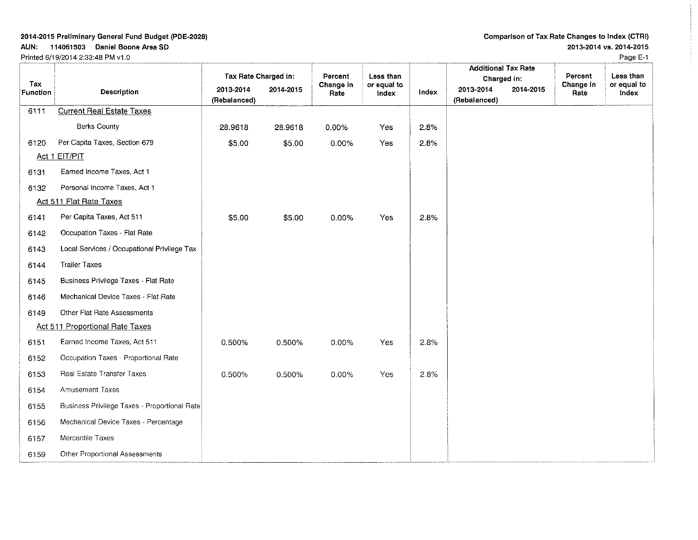AUN: 114061503 Daniel Boone Area SO Printed 6/19/2014 2:33:48 PM v1.0

## Comparison of Tax Rate Changes to Index (CTRI) 2013-2014 VS. 2014-2015

Page E-1

|                        |                                              | Tax Rate Charged in:      |           | Percent           | Less than            |       | <b>Additional Tax Rate</b><br>Charged in: | Percent           | Less than            |
|------------------------|----------------------------------------------|---------------------------|-----------|-------------------|----------------------|-------|-------------------------------------------|-------------------|----------------------|
| Tax<br><b>Function</b> | <b>Description</b>                           | 2013-2014<br>(Rebalanced) | 2014-2015 | Change in<br>Rate | or equal to<br>index | Index | 2013-2014<br>2014-2015<br>(Rebalanced)    | Change in<br>Rate | or equal to<br>Index |
| 6111                   | <b>Current Real Estate Taxes</b>             |                           |           |                   |                      |       |                                           |                   |                      |
|                        | <b>Berks County</b>                          | 28.9618                   | 28.9618   | 0.00%             | Yes                  | 2.8%  |                                           |                   |                      |
| 6120                   | Per Capita Taxes, Section 679                | \$5.00                    | \$5.00    | 0.00%             | Yes                  | 2.8%  |                                           |                   |                      |
|                        | Act 1 EIT/PIT                                |                           |           |                   |                      |       |                                           |                   |                      |
| 6131                   | Earned Income Taxes, Act 1                   |                           |           |                   |                      |       |                                           |                   |                      |
| 6132                   | Personal Income Taxes, Act 1                 |                           |           |                   |                      |       |                                           |                   |                      |
|                        | Act 511 Flat Rate Taxes                      |                           |           |                   |                      |       |                                           |                   |                      |
| 6141                   | Per Capita Taxes, Act 511                    | \$5.00                    | \$5.00    | 0.00%             | Yes                  | 2.8%  |                                           |                   |                      |
| 6142                   | Occupation Taxes - Flat Rate                 |                           |           |                   |                      |       |                                           |                   |                      |
| 6143                   | Local Services / Occupational Privilege Tax  |                           |           |                   |                      |       |                                           |                   |                      |
| 6144                   | <b>Trailer Taxes</b>                         |                           |           |                   |                      |       |                                           |                   |                      |
| 6145                   | Business Privilege Taxes - Flat Rate         |                           |           |                   |                      |       |                                           |                   |                      |
| 6146                   | Mechanical Device Taxes - Flat Rate          |                           |           |                   |                      |       |                                           |                   |                      |
| 6149                   | Other Flat Rate Assessments                  |                           |           |                   |                      |       |                                           |                   |                      |
|                        | Act 511 Proportional Rate Taxes              |                           |           |                   |                      |       |                                           |                   |                      |
| 6151                   | Earned Income Taxes, Act 511                 | 0.500%                    | 0.500%    | 0.00%             | Yes                  | 2.8%  |                                           |                   |                      |
| 6152                   | Occupation Taxes - Proportional Rate         |                           |           |                   |                      |       |                                           |                   |                      |
| 6153                   | Real Estate Transfer Taxes                   | 0.500%                    | 0.500%    | 0.00%             | Yes                  | 28%   |                                           |                   |                      |
| 6154                   | <b>Amusement Taxes</b>                       |                           |           |                   |                      |       |                                           |                   |                      |
| 6155                   | Business Privilege Taxes - Proportional Rate |                           |           |                   |                      |       |                                           |                   |                      |
| 6156                   | Mechanical Device Taxes - Percentage         |                           |           |                   |                      |       |                                           |                   |                      |
| 6157                   | Mercantile Taxes                             |                           |           |                   |                      |       |                                           |                   |                      |
| 6159                   | Other Proportional Assessments               |                           |           |                   |                      |       |                                           |                   |                      |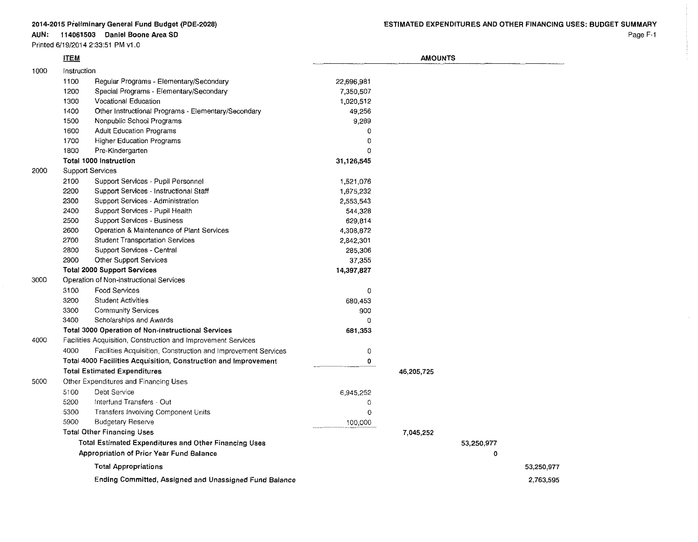|      |             | Printed 6/19/2014 2:33:51 PM v1 0                               |             |                |            |            |
|------|-------------|-----------------------------------------------------------------|-------------|----------------|------------|------------|
|      | <b>ITEM</b> |                                                                 |             | <b>AMOUNTS</b> |            |            |
| 1000 | Instruction |                                                                 |             |                |            |            |
|      | 1100        | Regular Programs - Elementary/Secondary                         | 22,696.981  |                |            |            |
|      | 1200        | Special Programs - Elementary/Secondary                         | 7,350,507   |                |            |            |
|      | 1300        | <b>Vocational Education</b>                                     | 1,020,512   |                |            |            |
|      | 1400        | Other Instructional Programs - Elementary/Secondary             | 49,256      |                |            |            |
|      | 1500        | Nonpublic School Programs                                       | 9,289       |                |            |            |
|      | 1600        | <b>Adult Education Programs</b>                                 | 0           |                |            |            |
|      | 1700        | <b>Higher Education Programs</b>                                | $\Omega$    |                |            |            |
|      | 1800        | Pre-Kindergarten                                                | $\Omega$    |                |            |            |
|      |             | Total 1000 Instruction                                          | 31,126,545  |                |            |            |
| 2000 |             | Support Services                                                |             |                |            |            |
|      | 2100        | Support Services - Pupil Personnel                              | 1,521,076   |                |            |            |
|      | 2200        | Support Services Instructional Staff                            | 1,675,232   |                |            |            |
|      | 2300        | Support Services - Administration                               | 2,553,543   |                |            |            |
|      | 2400        | Support Services - Pupil Health                                 | 544,328     |                |            |            |
|      | 2500        | Support Services - Business                                     | 629,814     |                |            |            |
|      | 2600        | Operation & Maintenance of Plant Services                       | 4,308,872   |                |            |            |
|      | 2700        | <b>Student Transportation Services</b>                          | 2,842,301   |                |            |            |
|      | 2800        | Support Services - Central                                      | 285,306     |                |            |            |
|      | 2900        | Other Support Services                                          | 37,355      |                |            |            |
|      |             | <b>Total 2000 Support Services</b>                              | 14,397,827  |                |            |            |
| 3000 |             | Operation of Non-instructional Services                         |             |                |            |            |
|      | 3100        | Food Services                                                   | $\mathbf 0$ |                |            |            |
|      | 3200        | <b>Student Activities</b>                                       | 680,453     |                |            |            |
|      | 3300        | <b>Community Services</b>                                       | 900         |                |            |            |
|      | 3400        | Scholarships and Awards                                         | $\mathbf 0$ |                |            |            |
|      |             | <b>Total 3000 Operation of Non-instructional Services</b>       | 681,353     |                |            |            |
| 4000 |             | Facilities Acquisition, Construction and Improvement Services   |             |                |            |            |
|      | 4000        | Facilities Acquisition, Construction and Improvement Services   | $\mathbf 0$ |                |            |            |
|      |             | Total 4000 Facilities Acquisition, Construction and Improvement | 0           |                |            |            |
|      |             | <b>Total Estimated Expenditures</b>                             |             | 46,205,725     |            |            |
| 5000 |             | Other Expenditures and Financing Uses                           |             |                |            |            |
|      | 5100        | Debt Service                                                    | 6,945,252   |                |            |            |
|      | 5200        | Interfund Transfers - Out                                       | 0           |                |            |            |
|      | 5300        | Transfers Involving Component Units                             | $\Omega$    |                |            |            |
|      | 5900        | <b>Budgetary Reserve</b>                                        | 100,000     |                |            |            |
|      |             | <b>Total Other Financing Uses</b>                               |             | 7,045,252      |            |            |
|      |             | <b>Total Estimated Expenditures and Other Financing Uses</b>    |             |                | 53,250 977 |            |
|      |             | <b>Appropriation of Prior Year Fund Balance</b>                 |             |                | 0          |            |
|      |             | <b>Total Appropriations</b>                                     |             |                |            | 53,250.977 |
|      |             | Ending Committed, Assigned and Unassigned Fund Balance          |             |                |            | 2,763.595  |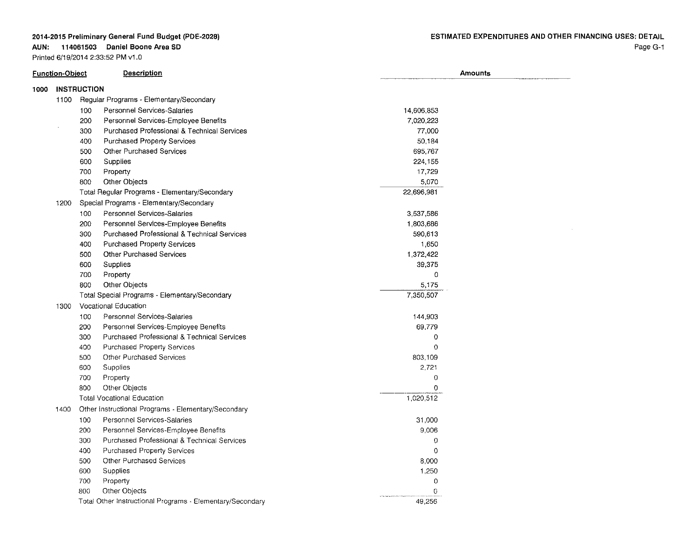#### **AUN: 114061503 Daniel Boone Area SO**

|                            | <b>Function-Object</b> |     | <b>Description</b>                                        |            | <b>Amounts</b> |
|----------------------------|------------------------|-----|-----------------------------------------------------------|------------|----------------|
| <b>INSTRUCTION</b><br>1000 |                        |     |                                                           |            |                |
|                            | 1100                   |     | Regular Programs - Elementary/Secondary                   |            |                |
|                            |                        | 100 | Personnel Services-Salaries                               | 14,606,853 |                |
|                            |                        | 200 | Personnel Services-Employee Benefits                      | 7,020,223  |                |
|                            |                        | 300 | Purchased Professional & Technical Services               | 77,000     |                |
|                            |                        | 400 | <b>Purchased Property Services</b>                        | 50,184     |                |
|                            |                        | 500 | <b>Other Purchased Services</b>                           | 695,767    |                |
|                            |                        | 600 | Supplies                                                  | 224, 155   |                |
|                            |                        | 700 | Property                                                  | 17,729     |                |
|                            |                        | 800 | Other Objects                                             | 5,070      |                |
|                            |                        |     | Total Regular Programs - Elementary/Secondary             | 22,696,981 |                |
|                            | 1200                   |     | Special Programs - Elementary/Secondary                   |            |                |
|                            |                        | 100 | Personnel Services-Salaries                               | 3,537,586  |                |
|                            |                        | 200 | Personnel Services-Employee Benefits                      | 1.803,686  |                |
|                            |                        | 300 | Purchased Professional & Technical Services               | 590,613    |                |
|                            |                        | 400 | Purchased Property Services                               | 1,650      |                |
|                            |                        | 500 | <b>Other Purchased Services</b>                           | 1,372,422  |                |
|                            |                        | 600 | Supplies                                                  | 39,375     |                |
|                            |                        | 700 | Property                                                  | $\circ$    |                |
|                            |                        | 300 | Other Objects                                             | 5,175      |                |
|                            |                        |     | Total Special Programs - Elementary/Secondary             | 7,350,507  |                |
|                            | 1300                   |     | Vocational Education                                      |            |                |
|                            |                        | 100 | Personnel Services-Salaries                               | 144,903    |                |
|                            |                        | 200 | Personnel Services-Employee Benefits                      | 69,779     |                |
|                            |                        | 300 | Purchased Professional & Technical Services               | 0          |                |
|                            |                        | 400 | Purchased Property Services                               | $\Omega$   |                |
|                            |                        | 500 | <b>Other Purchased Services</b>                           | 803,109    |                |
|                            |                        | 600 | Supplies                                                  | 2,721      |                |
|                            |                        | 700 | Property                                                  | $\circ$    |                |
|                            |                        | 800 | Other Objects                                             | $\Omega$   |                |
|                            |                        |     | <b>Total Vocational Education</b>                         | 1,020,512  |                |
|                            | 1400                   |     | Other Instructional Programs - Elementary/Secondary       |            |                |
|                            |                        | 100 | Personnel Services-Salaries                               | 31,000     |                |
|                            |                        | 200 | Personnel Services-Employee Benefits                      | 9,006      |                |
|                            |                        | 300 | Purchased Professional & Technical Services               | 0          |                |
|                            |                        | 400 | Purchased Property Services                               | $\Omega$   |                |
|                            |                        | 500 | <b>Other Purchased Services</b>                           | 8,000      |                |
|                            |                        | 600 | Supplies                                                  | 1,250      |                |
|                            |                        | 700 | Property                                                  | 0          |                |
|                            |                        | 800 | Other Objects                                             | 0          |                |
|                            |                        |     | Total Other Instructional Programs - Elementary/Secondary | 49.256     |                |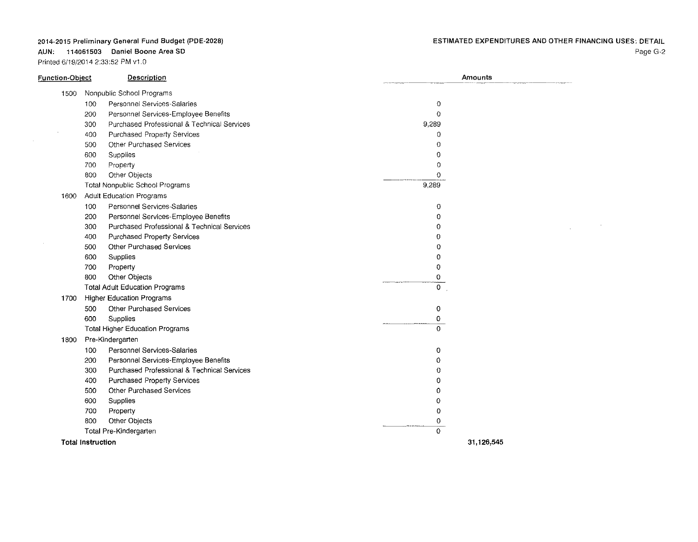AUN: 114061503 Daniel Boone Area SO

| Function-Object | Description                                        | Amounts        |
|-----------------|----------------------------------------------------|----------------|
| 1500            | Nonpublic School Programs                          |                |
|                 | Personnel Services-Salaries<br>100                 | 0              |
|                 | Personnel Services-Employee Benefits<br>200        | $\circ$        |
|                 | Purchased Professional & Technical Services<br>300 | 9,289          |
|                 | Purchased Property Services<br>400                 | $\circ$        |
|                 | <b>Other Purchased Services</b><br>500             | $\Omega$       |
|                 | 600<br>Supplies                                    | 0              |
|                 | 700<br>Property                                    | $\circ$        |
|                 | 800<br>Other Objects                               | 0              |
|                 | Total Nonpublic School Programs                    | 9,289          |
| 1600            | <b>Adult Education Programs</b>                    |                |
|                 | Personnel Services-Salaries<br>100                 | 0              |
|                 | 200<br>Personnel Services-Employee Benefits        | $^{\circ}$     |
|                 | Purchased Professional & Technical Services<br>300 | $^{\circ}$     |
|                 | Purchased Property Services<br>400                 | $\Omega$       |
|                 | Other Purchased Services<br>500                    | 0              |
|                 | 600<br>Supplies                                    | $\overline{0}$ |
|                 | 700<br>Property                                    | $\overline{0}$ |
|                 | 800<br>Other Objects                               | 0              |
|                 | <b>Total Adult Education Programs</b>              | $\circ$        |
| 1700            | <b>Higher Education Programs</b>                   |                |
|                 | <b>Other Purchased Services</b><br>500             | 0              |
|                 | 600<br>Supplies                                    | 0              |
|                 | Total Higher Education Programs                    | $\Omega$       |
| 1800            | Pre-Kindergarten                                   |                |
|                 | Personnel Services-Salaries<br>100                 | 0              |
|                 | Personnel Services-Employee Benefits<br>200        | 0              |
|                 | Purchased Professional & Technical Services<br>300 | 0              |
|                 | Purchased Property Services<br>400                 | $\Omega$       |
|                 | Other Purchased Services<br>500                    | 0              |
|                 | 600<br>Supplies                                    | 0              |
|                 | 700<br>Property                                    | 0              |
|                 | 800<br>Other Objects                               | 0              |
|                 | Total Pre-Kindergarten                             | 0              |
|                 | <b>Total Instruction</b>                           | 31,126,545     |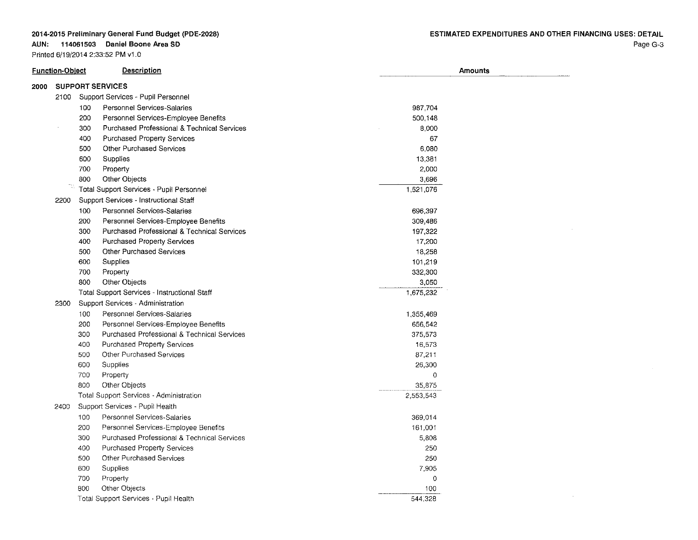## **AUN: 114061503 Daniel Boone Area SO**

| <b>Function-Object</b> |      |     | <b>Description</b>                           | Amounts        |  |  |  |
|------------------------|------|-----|----------------------------------------------|----------------|--|--|--|
| 2000                   |      |     | <b>SUPPORT SERVICES</b>                      |                |  |  |  |
|                        | 2100 |     | Support Services - Pupil Personnel           |                |  |  |  |
|                        |      | 100 | Personnel Services-Salaries                  | 987,704        |  |  |  |
|                        |      | 200 | Personnel Services-Employee Benefits         | 500,148        |  |  |  |
|                        |      | 300 | Purchased Professional & Technical Services  | 8,000          |  |  |  |
|                        |      | 400 | <b>Purchased Property Services</b>           | 67             |  |  |  |
|                        |      | 500 | Other Purchased Services                     | 6,080          |  |  |  |
|                        |      | 600 | <b>Supplies</b>                              | 13,381         |  |  |  |
|                        |      | 700 | Property                                     | 2,000          |  |  |  |
|                        |      | 800 | Other Objects                                | 3,696          |  |  |  |
|                        | 73   |     | Total Support Services - Pupil Personnel     | 1,521,076      |  |  |  |
|                        | 2200 |     | Support Services - Instructional Staff       |                |  |  |  |
|                        |      | 100 | Personnel Services-Salaries                  | 696,397        |  |  |  |
|                        |      | 200 | Personnel Services-Employee Benefits         | 309,486        |  |  |  |
|                        |      | 300 | Purchased Professional & Technical Services  | 197,322        |  |  |  |
|                        |      | 400 | Purchased Property Services                  | 17,200         |  |  |  |
|                        |      | 500 | <b>Other Purchased Services</b>              | 18,258         |  |  |  |
|                        |      | 600 | Supplies                                     | 101,219        |  |  |  |
|                        |      | 700 | Property                                     | 332,300        |  |  |  |
|                        |      | 800 | Other Objects                                | 3,050          |  |  |  |
|                        |      |     | Total Support Services - Instructional Staff | 1,675,232      |  |  |  |
|                        | 2300 |     | Support Services - Administration            |                |  |  |  |
|                        |      | 100 | Personnel Services-Salaries                  | 1,355,469      |  |  |  |
|                        |      | 200 | Personnel Services-Employee Benefits         | 656,542        |  |  |  |
|                        |      | 300 | Purchased Professional & Technical Services  | 375,573        |  |  |  |
|                        |      | 400 | Purchased Property Services                  | 16,573         |  |  |  |
|                        |      | 500 | Other Purchased Services                     | 87,211         |  |  |  |
|                        |      | 600 | Supplies                                     | 26,300         |  |  |  |
|                        |      | 700 | Property                                     | $\circ$        |  |  |  |
|                        |      | 800 | Other Objects                                | 35,875         |  |  |  |
|                        |      |     | Total Support Services - Administration      | 2,553,543      |  |  |  |
|                        | 2400 |     | Support Services - Pupil Health              |                |  |  |  |
|                        |      | 100 | Personnel Services-Salaries                  | 369,014        |  |  |  |
|                        |      | 200 | Personnel Services-Employee Benefits         | 161,001        |  |  |  |
|                        |      | 300 | Purchased Professional & Technical Services  | 5,808          |  |  |  |
|                        |      | 400 | Purchased Property Services                  | 250            |  |  |  |
|                        |      | 500 | <b>Other Purchased Services</b>              | 250            |  |  |  |
|                        |      | 600 | <b>Supplies</b>                              | 7,905          |  |  |  |
|                        |      | 700 | Property                                     | $\overline{0}$ |  |  |  |
|                        |      | 800 | Other Objects                                | 100            |  |  |  |
|                        |      |     | Total Support Services - Pupil Health        | 544,328        |  |  |  |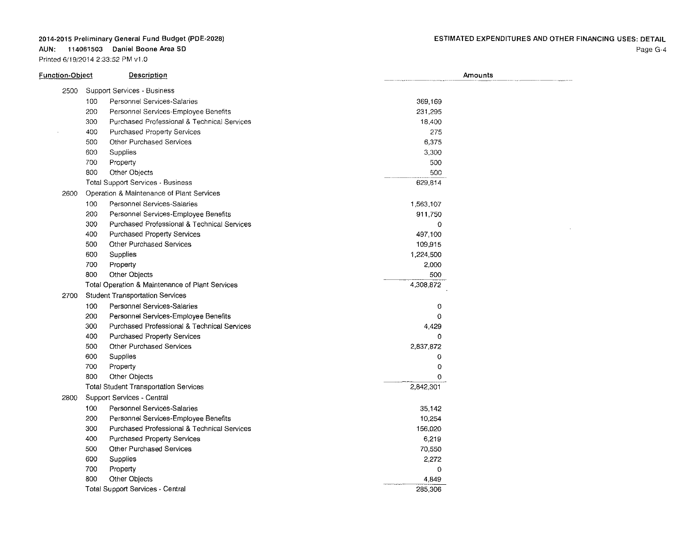AUN: 114061503 Daniel Boone Area SO

Printed 6/19/2014 2:33:52 PM v1 .0

 $\sim 100$ 

| <u> Function-Object</u> | Description                                        | Amounts   |  |
|-------------------------|----------------------------------------------------|-----------|--|
| 2500                    | Support Services - Business                        |           |  |
|                         | 100<br>Personnel Services-Salaries                 | 369,169   |  |
|                         | 200<br>Personnel Services-Employee Benefits        | 231,295   |  |
|                         | 300<br>Purchased Professional & Technical Services | 18,400    |  |
|                         | 400<br>Purchased Property Services                 | 275       |  |
|                         | 500<br>Other Purchased Services                    | 6,375     |  |
|                         | 600<br>Supplies                                    | 3,300     |  |
|                         | 700<br>Property                                    | 500       |  |
|                         | 800<br>Other Objects                               | 500       |  |
|                         | <b>Total Support Services - Business</b>           | 629,814   |  |
| 2600                    | Operation & Maintenance of Plant Services          |           |  |
|                         | Personnel Services-Salaries<br>100                 | 1,563,107 |  |
|                         | 200<br>Personnel Services-Employee Benefits        | 911,750   |  |
|                         | 300<br>Purchased Professional & Technical Services | 0         |  |
|                         | 400<br>Purchased Property Services                 | 497,100   |  |
|                         | 500<br>Other Purchased Services                    | 109,915   |  |
|                         | 600<br>Supplies                                    | 1,224,500 |  |
|                         | 700<br>Property                                    | 2,000     |  |
|                         | 800<br>Other Objects                               | 500       |  |
|                         | Total Operation & Maintenance of Plant Services    | 4,308,872 |  |
| 2700                    | <b>Student Transportation Services</b>             |           |  |
|                         | 100<br>Personnel Services-Salaries                 | $\circ$   |  |
|                         | 200<br>Personnel Services-Employee Benefits        | 0         |  |
|                         | 300<br>Purchased Professional & Technical Services | 4,429     |  |
|                         | 400<br>Purchased Property Services                 | $\Omega$  |  |
|                         | 500<br>Other Purchased Services                    | 2,837,872 |  |
|                         | 600<br>Supplies                                    | 0         |  |
|                         | 700<br>Property                                    | 0         |  |
|                         | 800<br><b>Other Objects</b>                        | $\Omega$  |  |
|                         | <b>Total Student Transportation Services</b>       | 2,842,301 |  |
| 2800                    | Support Services - Central                         |           |  |
|                         | 100<br>Personnel Services-Salaries                 | 35,142    |  |
|                         | 200<br>Personnel Services-Employee Benefits        | 10,254    |  |
|                         | 300<br>Purchased Professional & Technical Services | 156,020   |  |
|                         | 400<br><b>Purchased Property Services</b>          | 6,219     |  |
|                         | 500<br><b>Other Purchased Services</b>             | 70,550    |  |
|                         | 600<br>Supplies                                    | 2,272     |  |
|                         | 700<br>Property                                    | $\Omega$  |  |
|                         | 800<br>Other Objects                               | 4.849     |  |
|                         | <b>Total Support Services - Central</b>            | 285,306   |  |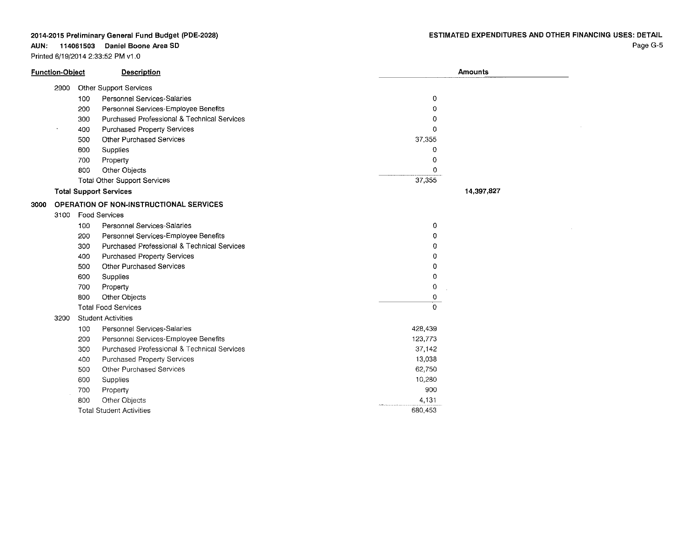**AUN: 114061503 Daniel Boone Area SO**

Printed 6/19/2014 2:33:52 PM v1.0

 $\sim 10^{11}$ 

|      | Function-Object |     | <b>Description</b>                             |          | Amounts    |
|------|-----------------|-----|------------------------------------------------|----------|------------|
|      | 2900            |     | Other Support Services                         |          |            |
|      |                 | 100 | Personnel Services-Salaries                    | 0        |            |
|      |                 | 200 | Personnel Services-Employee Benefits           | $\Omega$ |            |
|      |                 | 300 | Purchased Professional & Technical Services    | 0        |            |
|      |                 | 400 | <b>Purchased Property Services</b>             | o        |            |
|      |                 | 500 | <b>Other Purchased Services</b>                | 37,355   |            |
|      |                 | 600 | Supplies                                       | Ω        |            |
|      |                 | 700 | Property                                       | 0        |            |
|      |                 | 800 | Other Objects                                  | 0        |            |
|      |                 |     | <b>Total Other Support Services</b>            | 37,355   |            |
|      |                 |     | <b>Total Support Services</b>                  |          | 14,397,827 |
| 3000 |                 |     | <b>OPERATION OF NON-INSTRUCTIONAL SERVICES</b> |          |            |
|      | 3100            |     | Food Services                                  |          |            |
|      |                 | 100 | Personnel Services-Salaries                    | 0        |            |
|      |                 | 200 | Personnel Services-Employee Benefits           | 0        |            |
|      |                 | 300 | Purchased Professional & Technical Services    | Ω        |            |
|      |                 | 400 | <b>Purchased Property Services</b>             | 0        |            |
|      |                 | 500 | Other Purchased Services                       | 0        |            |
|      |                 | 600 | Supplies                                       | 0        |            |
|      |                 | 700 | Property                                       | 0        |            |
|      |                 | 800 | Other Objects                                  | 0        |            |
|      |                 |     | <b>Total Food Services</b>                     | $\Omega$ |            |
|      | 3200            |     | <b>Student Activities</b>                      |          |            |
|      |                 | 100 | <b>Personnel Services-Salaries</b>             | 428,439  |            |
|      |                 | 200 | Personnel Services-Employee Benefits           | 123,773  |            |
|      |                 | 300 | Purchased Professional & Technical Services    | 37,142   |            |
|      |                 | 400 | <b>Purchased Property Services</b>             | 13,038   |            |
|      |                 | 500 | Other Purchased Services                       | 62,750   |            |
|      |                 | 600 | Supplies                                       | 10,280   |            |
|      |                 | 700 | Property                                       | 900      |            |
|      |                 | 800 | Other Objects                                  | 4,131    |            |
|      |                 |     | <b>Total Student Activities</b>                | 680,453  |            |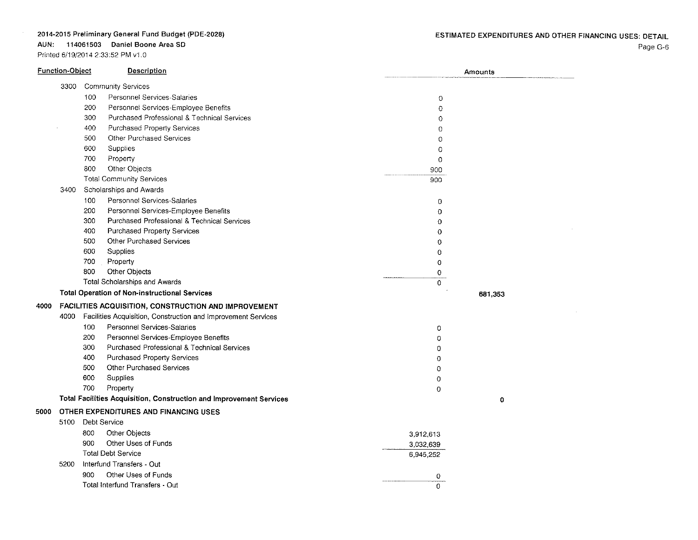## AUN: 114061503 Daniel Boone Area SD

|      | <b>Function-Object</b> |     | Description                                                         |                | Amounts |
|------|------------------------|-----|---------------------------------------------------------------------|----------------|---------|
|      | 3300                   |     | <b>Community Services</b>                                           |                |         |
|      |                        | 100 | Personnel Services-Salaries                                         | $\circ$        |         |
|      |                        | 200 | Personnel Services-Employee Benefits                                | 0              |         |
|      |                        | 300 | Purchased Professional & Technical Services                         | $\Omega$       |         |
|      |                        | 400 | Purchased Property Services                                         | $\circ$        |         |
|      |                        | 500 | <b>Other Purchased Services</b>                                     | $\Omega$       |         |
|      |                        | 600 | Supplies                                                            | 0              |         |
|      |                        | 700 | Property                                                            | $\mathbf 0$    |         |
|      |                        | 800 | Other Objects                                                       | 900            |         |
|      |                        |     | <b>Total Community Services</b>                                     | 900            |         |
|      | 3400                   |     | Scholarships and Awards                                             |                |         |
|      |                        | 100 | Personnel Services-Salaries                                         | 0              |         |
|      |                        | 200 | Personnel Services-Employee Benefits                                | $\overline{0}$ |         |
|      |                        | 300 | Purchased Professional & Technical Services                         | 0              |         |
|      |                        | 400 | Purchased Property Services                                         | 0              |         |
|      |                        | 500 | <b>Other Purchased Services</b>                                     | 0              |         |
|      |                        | 600 | Supplies                                                            | $\bf{0}$       |         |
|      |                        | 700 | Property                                                            | 0              |         |
|      |                        | 800 | Other Objects                                                       | 0              |         |
|      |                        |     | Total Scholarships and Awards                                       | 0              |         |
|      |                        |     | <b>Total Operation of Non-instructional Services</b>                |                | 681,353 |
| 4000 |                        |     | FACILITIES ACQUISITION, CONSTRUCTION AND IMPROVEMENT                |                |         |
|      |                        |     | 4000 Facilities Acquisition, Construction and improvement Services  |                |         |
|      |                        | 100 | Personnel Services-Salaries                                         | 0              |         |
|      |                        | 200 | Personnel Services-Employee Benefits                                | 0              |         |
|      |                        | 300 | Purchased Professional & Technical Services                         | 0              |         |
|      |                        | 400 | Purchased Property Services                                         | 0              |         |
|      |                        | 500 | Other Purchased Services                                            | $\circ$        |         |
|      |                        | 600 | Supplies                                                            | $\Omega$       |         |
|      |                        | 700 | Property                                                            | 0              |         |
|      |                        |     | Total Facilities Acquisition, Construction and Improvement Services |                | 0       |
| 5000 |                        |     | OTHER EXPENDITURES AND FINANCING USES                               |                |         |
|      | 5100                   |     | Debt Service                                                        |                |         |
|      |                        | 800 | Other Objects                                                       | 3,912,613      |         |
|      |                        | 900 | Other Uses of Funds                                                 | 3,032,639      |         |
|      |                        |     | <b>Total Debt Service</b>                                           | 6,945,252      |         |
|      | 5200                   |     | Interfund Transfers - Out                                           |                |         |
|      |                        | 900 | Other Uses of Funds                                                 | 0              |         |
|      |                        |     | Total Interfund Transfers - Out                                     | $\Omega$       |         |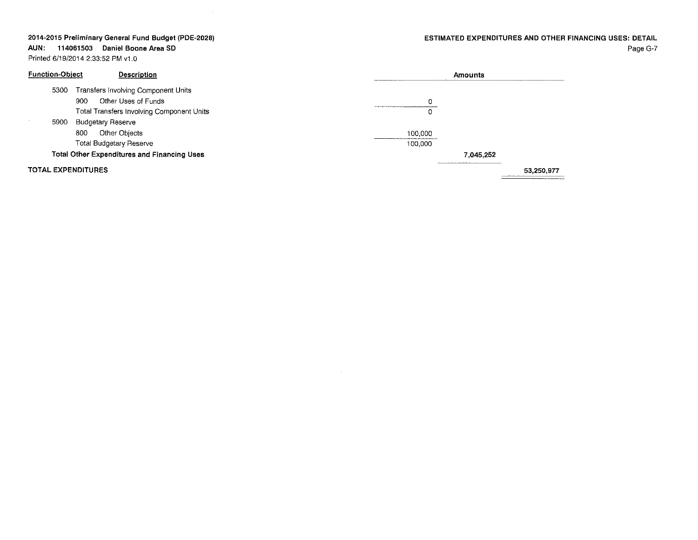$\sim 10^{-1}$ 

## ESTIMATED EXPENDITURES AND OTHER FINANCING USES: DETAIL

Page G-7

**AUN: 114061503 Daniel Boone Area SO** Printed 6/19/2014 2:33:52 PM v1.0

| <b>Function-Object</b>    | Description                                        |         | Amounts   |            |
|---------------------------|----------------------------------------------------|---------|-----------|------------|
| 5300                      | <b>Transfers involving Component Units</b>         |         |           |            |
|                           | Other Uses of Funds<br>900                         | 0       |           |            |
|                           | Total Transfers Involving Component Units          | 0       |           |            |
| 5900                      | <b>Budgetary Reserve</b>                           |         |           |            |
|                           | Other Objects<br>800                               | 100.000 |           |            |
|                           | <b>Total Budgetary Reserve</b>                     | 100.000 |           |            |
|                           | <b>Total Other Expenditures and Financing Uses</b> |         | 7.045.252 |            |
| <b>TOTAL EXPENDITURES</b> |                                                    |         |           | 53.250.977 |

 $\sim 10^{11}$  km  $^{-1}$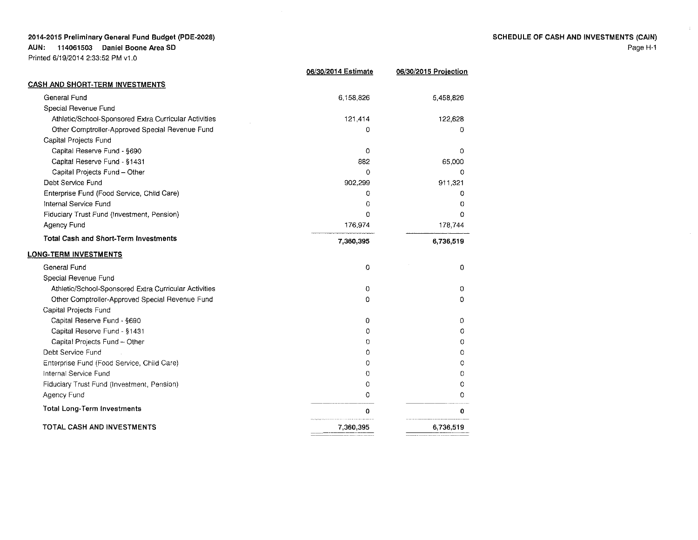AUN: 114061503 Daniel Boone Area SO

|                                                       | 06/30/2014 Estimate | 06/30/2015 Projection |
|-------------------------------------------------------|---------------------|-----------------------|
| <b>CASH AND SHORT-TERM INVESTMENTS</b>                |                     |                       |
| General Fund                                          | 6,158,826           | 5,458,826             |
| Special Revenue Fund                                  |                     |                       |
| Athletic/School-Sponsored Extra Curricular Activities | 121,414             | 122,628               |
| Other Comptroller-Approved Special Revenue Fund       | 0                   | 0                     |
| Capital Projects Fund                                 |                     |                       |
| Capital Reserve Fund - §690                           | 0                   | 0                     |
| Capital Reserve Fund - §1431                          | 882                 | 65,000                |
| Capital Projects Fund - Other                         | 0                   | Ω                     |
| Debt Service Fund                                     | 902,299             | 911,321               |
| Enterprise Fund (Food Service, Child Care)            | 0                   | 0                     |
| Internal Service Fund                                 | 0                   | $\Omega$              |
| Fiduciary Trust Fund (Investment, Pension)            | 0                   | 0                     |
| Agency Fund                                           | 176,974             | 178,744               |
| <b>Total Cash and Short-Term Investments</b>          | 7,360,395           | 6,736,519             |
| <u>LONG-TERM INVESTMENTS</u>                          |                     |                       |
| General Fund                                          | 0                   | 0                     |
| Special Revenue Fund                                  |                     |                       |
| Athletic/School-Sponsored Extra Curricular Activities | 0                   | 0                     |
| Other Comptroller-Approved Special Revenue Fund       | 0                   | 0                     |
| Capital Projects Fund                                 |                     |                       |
| Capital Reserve Fund - §690                           | 0                   | 0                     |
| Capital Reserve Fund - §1431                          | 0                   | 0                     |
| Capital Projects Fund - Other                         | 0                   | 0                     |
| Debt Service Fund                                     | 0                   | O                     |
| Enterprise Fund (Food Service, Child Care)            | 0                   | O                     |
| Internal Service Fund                                 | 0                   | 0                     |
| Fiduciary Trust Fund (Investment, Pension)            | $\Omega$            | 0                     |
| Agency Fund                                           | 0                   | 0                     |
| <b>Total Long-Term Investments</b>                    | 0                   | 0                     |
| TOTAL CASH AND INVESTMENTS                            | 7,360,395           | 6,736,519             |
|                                                       |                     |                       |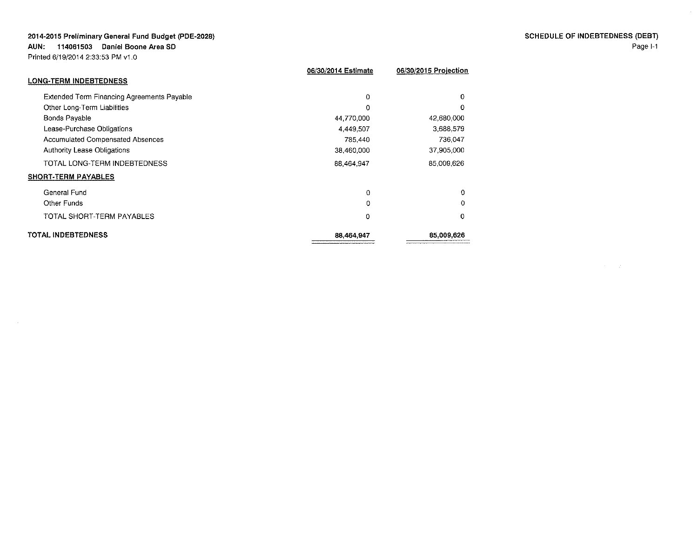**AUN: 114061503 Daniel Boone Area SD**

Printed 6/19/2014 2:33:53 PM v1.0

| 06/30/2015 Projection |
|-----------------------|
|                       |
| 0                     |
| $\Omega$              |
| 42,680,000            |
| 3,688,579             |
| 736,047               |
| 37,905,000            |
| 85,009,626            |
|                       |
| 0                     |
| 0                     |
| 0                     |
| 85,009,626            |
|                       |

SCHEDULE OF INDEBTEONESS (DEBT) Page 1-1